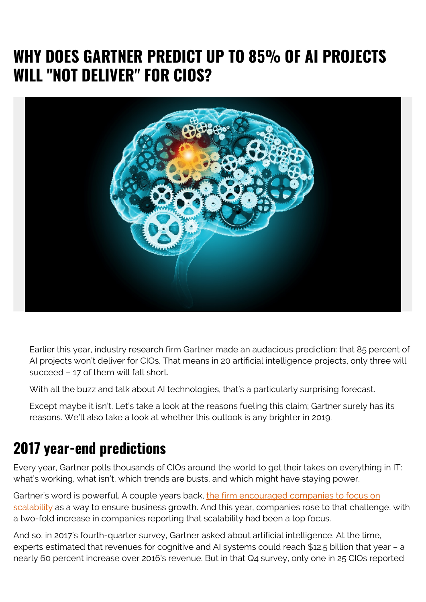### **WHY DOES GARTNER PREDICT UP TO 85% OF AI PROJECTS WILL "NOT DELIVER" FOR CIOS?**



Earlier this year, industry research firm Gartner made an audacious prediction: that 85 percent of AI projects won't deliver for CIOs. That means in 20 artificial intelligence projects, only three will succeed – 17 of them will fall short.

With all the buzz and talk about AI technologies, that's a particularly surprising forecast.

Except maybe it isn't. Let's take a look at the reasons fueling this claim; Gartner surely has its reasons. We'll also take a look at whether this outlook is any brighter in 2019.

#### **2017 year-end predictions**

Every year, Gartner polls thousands of CIOs around the world to get their takes on everything in IT: what's working, what isn't, which trends are busts, and which might have staying power.

Gartner's word is powerful. A couple years back, [the firm encouraged companies to focus on](https://www.gartner.com/en/newsroom/press-releases/2018-10-16-gartner-survey-of-more-than-3000-cios-reveals-that-enterprises-are-entering-the-third-era-of-it) [scalability](https://www.gartner.com/en/newsroom/press-releases/2018-10-16-gartner-survey-of-more-than-3000-cios-reveals-that-enterprises-are-entering-the-third-era-of-it) as a way to ensure business growth. And this year, companies rose to that challenge, with a two-fold increase in companies reporting that scalability had been a top focus.

And so, in 2017's fourth-quarter survey, Gartner asked about artificial intelligence. At the time, experts estimated that revenues for cognitive and AI systems could reach \$12.5 billion that year – a nearly 60 percent increase over 2016's revenue. But in that Q4 survey, only one in 25 CIOs reported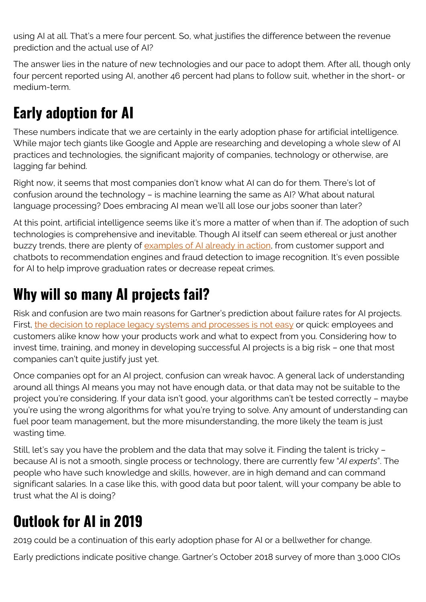using AI at all. That's a mere four percent. So, what justifies the difference between the revenue prediction and the actual use of AI?

The answer lies in the nature of new technologies and our pace to adopt them. After all, though only four percent reported using AI, another 46 percent had plans to follow suit, whether in the short- or medium-term.

# **Early adoption for AI**

These numbers indicate that we are certainly in the early adoption phase for artificial intelligence. While major tech giants like Google and Apple are researching and developing a whole slew of AI practices and technologies, the significant majority of companies, technology or otherwise, are lagging far behind.

Right now, it seems that most companies don't know what AI can do for them. There's lot of confusion around the technology – is machine learning the same as AI? What about natural language processing? Does embracing AI mean we'll all lose our jobs sooner than later?

At this point, artificial intelligence seems like it's more a matter of when than if. The adoption of such technologies is comprehensive and inevitable. Though AI itself can seem ethereal or just another buzzy trends, there are plenty of [examples of AI already in action](https://www.informationweek.com/big-data/ai-machine-learning/ai-begins-to-infiltrate-the-enterprise/d/d-id/1330809), from customer support and chatbots to recommendation engines and fraud detection to image recognition. It's even possible for AI to help improve graduation rates or decrease repeat crimes.

### **Why will so many AI projects fail?**

Risk and confusion are two main reasons for Gartner's prediction about failure rates for AI projects. First, [the decision to replace legacy systems and processes is not easy](https://www.zdnet.com/article/close-to-half-of-cios-plan-to-deploy-artificial-intelligence-enterprise-solutions/#ftag=RSSbaffb68) or quick: employees and customers alike know how your products work and what to expect from you. Considering how to invest time, training, and money in developing successful AI projects is a big risk – one that most companies can't quite justify just yet.

Once companies opt for an AI project, confusion can wreak havoc. A general lack of understanding around all things AI means you may not have enough data, or that data may not be suitable to the project you're considering. If your data isn't good, your algorithms can't be tested correctly – maybe you're using the wrong algorithms for what you're trying to solve. Any amount of understanding can fuel poor team management, but the more misunderstanding, the more likely the team is just wasting time.

Still, let's say you have the problem and the data that may solve it. Finding the talent is tricky – because AI is not a smooth, single process or technology, there are currently few "*AI experts*". The people who have such knowledge and skills, however, are in high demand and can command significant salaries. In a case like this, with good data but poor talent, will your company be able to trust what the AI is doing?

## **Outlook for AI in 2019**

2019 could be a continuation of this early adoption phase for AI or a bellwether for change.

Early predictions indicate positive change. Gartner's October 2018 survey of more than 3,000 CIOs